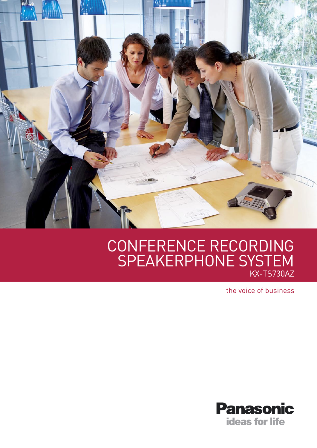

# CONFERENCE RECORDING SPEAKERPHONE SYSTEM KX-TS730AZ

the voice of business

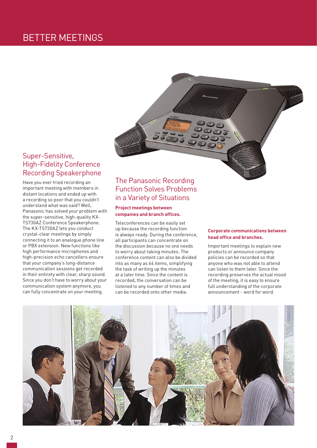# BETTER MEETINGS



### Super-Sensitive, High-Fidelity Conference Recording Speakerphone

Have you ever tried recording an important meeting with members in distant locations and ended up with a recording so poor that you couldn't understand what was said? Well, Panasonic has solved your problem with the super-sensitive, high-quality KX-TS730AZ Conference Speakerphone. The KX-TS730AZ lets you conduct crystal-clear meetings by simply connecting it to an analogue phone line or PBX extension. New functions like high performance microphones and high-precision echo cancellers ensure that your company's long-distance communication sessions get recorded in their entirety with clear, sharp sound. Since you don't have to worry about your communication system anymore, you can fully concentrate on your meeting.

### The Panasonic Recording Function Solves Problems in a Variety of Situations

### **Project meetings between companies and branch offices.**

Teleconferences can be easily set up because the recording function is always ready. During the conference, all participants can concentrate on the discussion because no one needs to worry about taking minutes. The conference content can also be divided into as many as 64 items, simplifying the task of writing up the minutes at a later time. Since the content is recorded, the conversation can be listened to any number of times and can be recorded onto other media.

#### **Corporate communications between head office and branches.**

Important meetings to explain new products or announce company policies can be recorded so that anyone who was not able to attend can listen to them later. Since the recording preserves the actual mood of the meeting, it is easy to ensure full understanding of the corporate announcement - word for word.

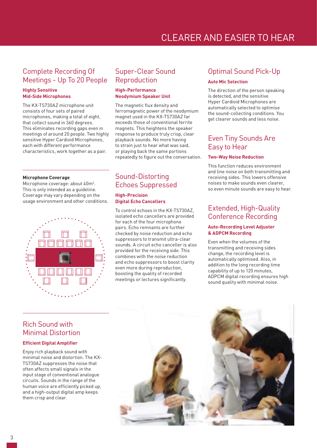# CLEARER AND EASIER TO HEAR

### Complete Recording Of Meetings - Up To 20 People

### **Highly Sensitive Mid-Side Microphones**

The KX-TS730AZ microphone unit consists of four sets of paired microphones, making a total of eight, that collect sound in 360 degrees. This eliminates recording gaps even in meetings of around 20 people. Two highly sensitive Hyper Cardioid Microphones, each with different performance characteristics, work together as a pair.

#### **Microphone Coverage**

Microphone coverage: about 40m<sup>2</sup>. This is only intended as a guideline. Coverage may vary depending on the usage environment and other conditions.



### Super-Clear Sound Reproduction

### **High-Performance Neodymium Speaker Unit**

The magnetic flux density and ferromagnetic power of the neodymium magnet used in the KX-TS730AZ far exceeds those of conventional ferrite magnets. This heightens the speaker response to produce truly crisp, clear playback sounds. No more having to strain just to hear what was said, or playing back the same portions repeatedly to figure out the conversation.

## Sound-Distorting Echoes Suppressed

### **High-Precision Digital Echo Cancellers**

To control echoes in the KX-TS730AZ, isolated echo cancellers are provided for each of the four microphone pairs. Echo remnants are further checked by noise reduction and echo suppressors to transmit ultra-clear sounds. A circuit echo canceller is also provided for the receiving side. This combines with the noise reduction and echo suppressors to boost clarity even more during reproduction, boosting the quality of recorded meetings or lectures significantly.

### Optimal Sound Pick-Up

#### **Auto Mic Selection**

The direction of the person speaking is detected, and the sensitive Hyper Cardioid Microphones are automatically selected to optimise the sound-collecting conditions. You get clearer sounds and less noise.

### Even Tiny Sounds Are Easy to Hear

#### **Two-Way Noise Reduction**

This function reduces environment and line noise on both transmitting and receiving sides. This lowers offensive noises to make sounds even clearer, so even minute sounds are easy to hear.

### Extended, High-Quality Conference Recording

### **Auto-Recording Level Adjuster & ADPCM Recording**

Even when the volumes of the transmitting and receiving sides change, the recording level is automatically optimised. Also, in addition to the long recording time capability of up to 120 minutes, ADPCM digital recording ensures high sound quality with minimal noise.

### Rich Sound with Minimal Distortion

### **Efficient Digital Amplifier**

Enjoy rich playback sound with minimal noise and distortion. The KX-TS730AZ suppresses the noise that often affects small signals in the input stage of conventional analogue circuits. Sounds in the range of the human voice are efficiently picked up, and a high-output digital amp keeps them crisp and clear.